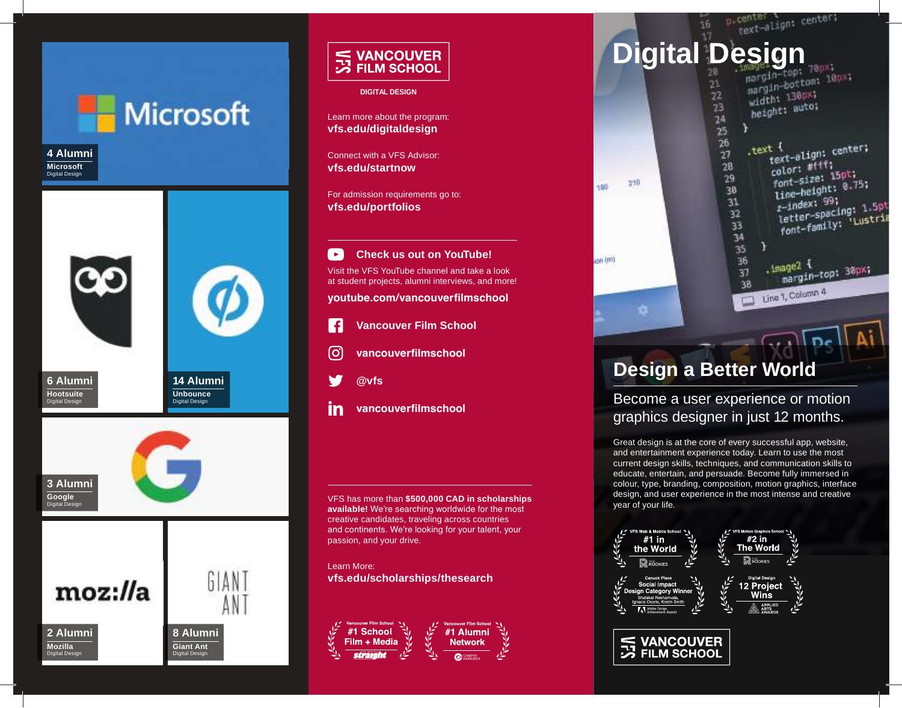

# S VANCOUVER<br>
S FILM SCHOOL

#### **DIGITAL DESIGN**

Learn more about the program: **vfs.edu/digitaldesign**

Connect with a VFS Advisor: **vfs.edu/startnow**

For admission requirements go to: **vfs.edu/portfolios**

° ∍ **Check us out on YouTube!** Visit the VFS YouTube channel and take a look at student projects, alumni interviews, and more!

**youtube.com/vancouverfilmschool**

- $\vert f \vert$ **Vancouver Film School**
- ြ **vancouverfilmschool**
- **@vfs**
- in **vancouverfilmschool**

VFS has more than **\$500,000 CAD in scholarships available!** We're searching worldwide for the most creative candidates, traveling across countries and continents. We're looking for your talent, your passion, and your drive.

Learn More: **vfs.edu/scholarships/thesearch**





# **Design a Better World**

Become a user experience or motion graphics designer in just 12 months.

Great design is at the core of every successful app, website, and entertainment experience today. Learn to use the most current design skills, techniques, and communication skills to educate, entertain, and persuade. Become fully immersed in colour, type, branding, composition, motion graphics, interface design, and user experience in the most intense and creative year of your life.